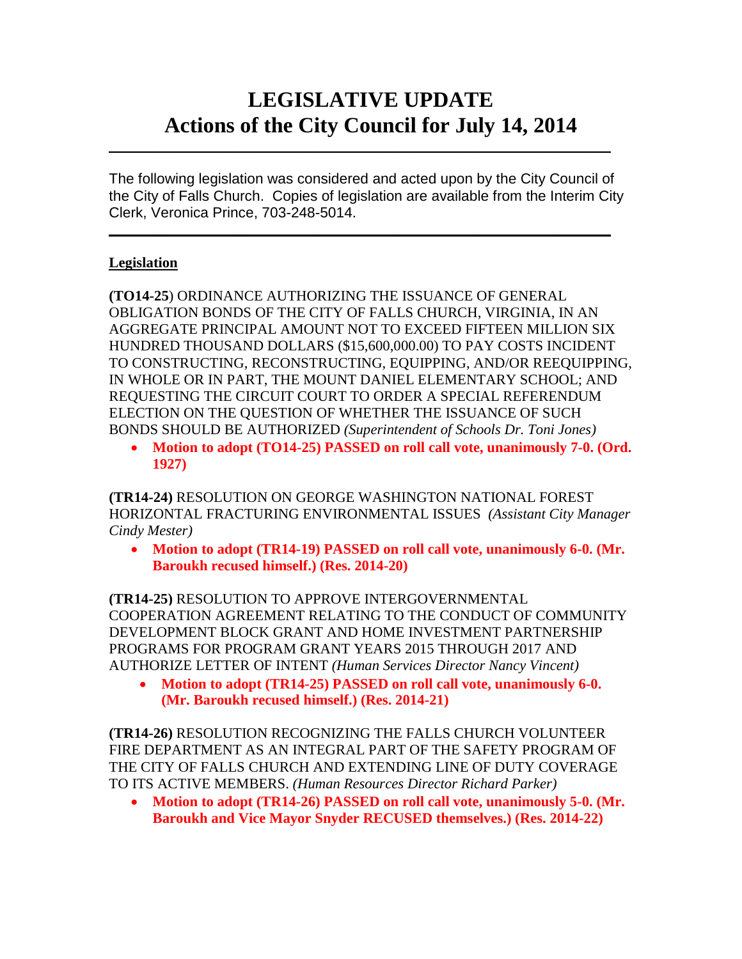# **LEGISLATIVE UPDATE Actions of the City Council for July 14, 2014**

The following legislation was considered and acted upon by the City Council of the City of Falls Church. Copies of legislation are available from the Interim City Clerk, Veronica Prince, 703-248-5014.

 $\mathcal{L}_\text{max}$  and  $\mathcal{L}_\text{max}$  and  $\mathcal{L}_\text{max}$  and  $\mathcal{L}_\text{max}$  and  $\mathcal{L}_\text{max}$  and  $\mathcal{L}_\text{max}$ 

 $\mathcal{L}_\text{max}$  and  $\mathcal{L}_\text{max}$  and  $\mathcal{L}_\text{max}$  and  $\mathcal{L}_\text{max}$  and  $\mathcal{L}_\text{max}$  and  $\mathcal{L}_\text{max}$ 

### **Legislation**

**(TO14-25**) ORDINANCE AUTHORIZING THE ISSUANCE OF GENERAL OBLIGATION BONDS OF THE CITY OF FALLS CHURCH, VIRGINIA, IN AN AGGREGATE PRINCIPAL AMOUNT NOT TO EXCEED FIFTEEN MILLION SIX HUNDRED THOUSAND DOLLARS (\$15,600,000.00) TO PAY COSTS INCIDENT TO CONSTRUCTING, RECONSTRUCTING, EQUIPPING, AND/OR REEQUIPPING, IN WHOLE OR IN PART, THE MOUNT DANIEL ELEMENTARY SCHOOL; AND REQUESTING THE CIRCUIT COURT TO ORDER A SPECIAL REFERENDUM ELECTION ON THE QUESTION OF WHETHER THE ISSUANCE OF SUCH BONDS SHOULD BE AUTHORIZED *(Superintendent of Schools Dr. Toni Jones)*

• **Motion to adopt (TO14-25) PASSED on roll call vote, unanimously 7-0. (Ord. 1927)**

**(TR14-24)** RESOLUTION ON GEORGE WASHINGTON NATIONAL FOREST HORIZONTAL FRACTURING ENVIRONMENTAL ISSUES *(Assistant City Manager Cindy Mester)*

• **Motion to adopt (TR14-19) PASSED on roll call vote, unanimously 6-0. (Mr. Baroukh recused himself.) (Res. 2014-20)**

**(TR14-25)** RESOLUTION TO APPROVE INTERGOVERNMENTAL COOPERATION AGREEMENT RELATING TO THE CONDUCT OF COMMUNITY DEVELOPMENT BLOCK GRANT AND HOME INVESTMENT PARTNERSHIP PROGRAMS FOR PROGRAM GRANT YEARS 2015 THROUGH 2017 AND AUTHORIZE LETTER OF INTENT *(Human Services Director Nancy Vincent)*

• **Motion to adopt (TR14-25) PASSED on roll call vote, unanimously 6-0. (Mr. Baroukh recused himself.) (Res. 2014-21)**

**(TR14-26)** RESOLUTION RECOGNIZING THE FALLS CHURCH VOLUNTEER FIRE DEPARTMENT AS AN INTEGRAL PART OF THE SAFETY PROGRAM OF THE CITY OF FALLS CHURCH AND EXTENDING LINE OF DUTY COVERAGE TO ITS ACTIVE MEMBERS. *(Human Resources Director Richard Parker)* 

• **Motion to adopt (TR14-26) PASSED on roll call vote, unanimously 5-0. (Mr. Baroukh and Vice Mayor Snyder RECUSED themselves.) (Res. 2014-22)**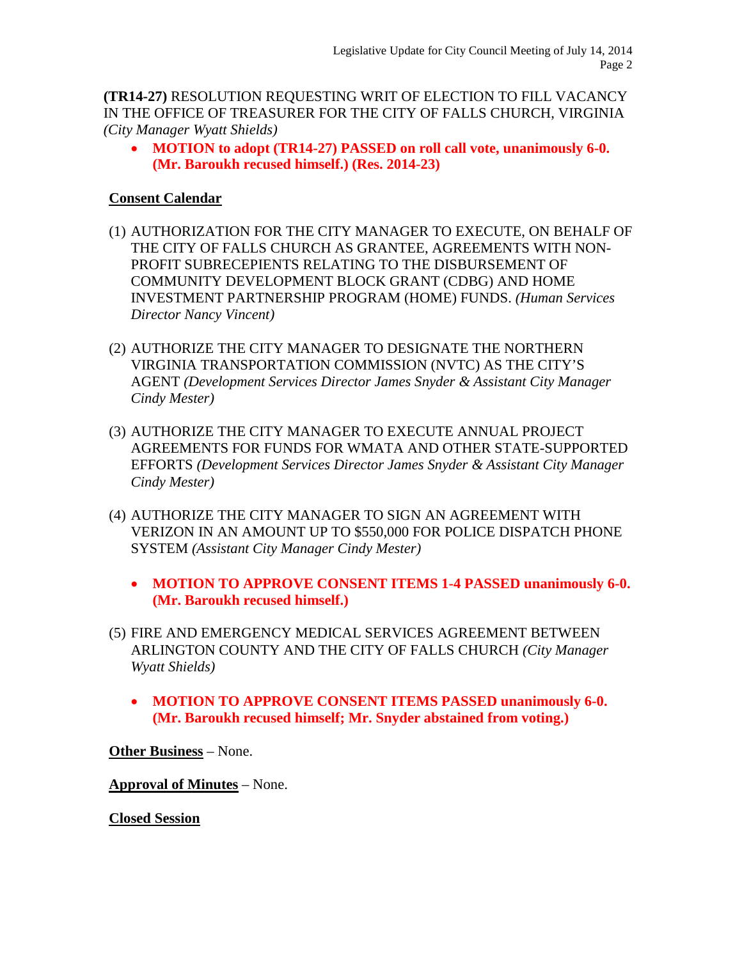**(TR14-27)** RESOLUTION REQUESTING WRIT OF ELECTION TO FILL VACANCY IN THE OFFICE OF TREASURER FOR THE CITY OF FALLS CHURCH, VIRGINIA *(City Manager Wyatt Shields)*

• **MOTION to adopt (TR14-27) PASSED on roll call vote, unanimously 6-0. (Mr. Baroukh recused himself.) (Res. 2014-23)**

#### **Consent Calendar**

- (1) AUTHORIZATION FOR THE CITY MANAGER TO EXECUTE, ON BEHALF OF THE CITY OF FALLS CHURCH AS GRANTEE, AGREEMENTS WITH NON-PROFIT SUBRECEPIENTS RELATING TO THE DISBURSEMENT OF COMMUNITY DEVELOPMENT BLOCK GRANT (CDBG) AND HOME INVESTMENT PARTNERSHIP PROGRAM (HOME) FUNDS. *(Human Services Director Nancy Vincent)*
- (2) AUTHORIZE THE CITY MANAGER TO DESIGNATE THE NORTHERN VIRGINIA TRANSPORTATION COMMISSION (NVTC) AS THE CITY'S AGENT *(Development Services Director James Snyder & Assistant City Manager Cindy Mester)*
- (3) AUTHORIZE THE CITY MANAGER TO EXECUTE ANNUAL PROJECT AGREEMENTS FOR FUNDS FOR WMATA AND OTHER STATE-SUPPORTED EFFORTS *(Development Services Director James Snyder & Assistant City Manager Cindy Mester)*
- (4) AUTHORIZE THE CITY MANAGER TO SIGN AN AGREEMENT WITH VERIZON IN AN AMOUNT UP TO \$550,000 FOR POLICE DISPATCH PHONE SYSTEM *(Assistant City Manager Cindy Mester)*
	- **MOTION TO APPROVE CONSENT ITEMS 1-4 PASSED unanimously 6-0. (Mr. Baroukh recused himself.)**
- (5) FIRE AND EMERGENCY MEDICAL SERVICES AGREEMENT BETWEEN ARLINGTON COUNTY AND THE CITY OF FALLS CHURCH *(City Manager Wyatt Shields)*
	- **MOTION TO APPROVE CONSENT ITEMS PASSED unanimously 6-0. (Mr. Baroukh recused himself; Mr. Snyder abstained from voting.)**

**Other Business** – None.

**Approval of Minutes** – None.

**Closed Session**